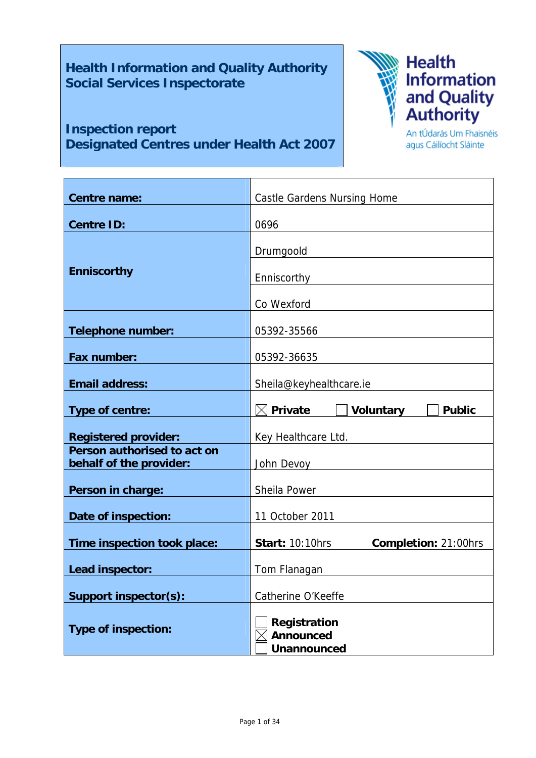# **Health Information and Quality Authority Social Services Inspectorate**

# **Inspection report Designated Centres under Health Act 2007**



An tÚdarás Um Fhaisnéis agus Cáilíocht Sláinte

| <b>Centre name:</b>                                    | <b>Castle Gardens Nursing Home</b>                            |  |  |
|--------------------------------------------------------|---------------------------------------------------------------|--|--|
| <b>Centre ID:</b>                                      | 0696                                                          |  |  |
|                                                        | Drumgoold                                                     |  |  |
| <b>Enniscorthy</b>                                     | Enniscorthy                                                   |  |  |
|                                                        | Co Wexford                                                    |  |  |
| Telephone number:                                      | 05392-35566                                                   |  |  |
| Fax number:                                            | 05392-36635                                                   |  |  |
| <b>Email address:</b>                                  | Sheila@keyhealthcare.ie                                       |  |  |
| Type of centre:                                        | $\boxtimes$ Private<br>Voluntary<br><b>Public</b>             |  |  |
| <b>Registered provider:</b>                            | Key Healthcare Ltd.                                           |  |  |
| Person authorised to act on<br>behalf of the provider: | John Devoy                                                    |  |  |
| Person in charge:                                      | Sheila Power                                                  |  |  |
| Date of inspection:                                    | 11 October 2011                                               |  |  |
| Time inspection took place:                            | <b>Start: 10:10hrs</b><br><b>Completion: 21:00hrs</b>         |  |  |
| Lead inspector:                                        | Tom Flanagan                                                  |  |  |
| Support inspector(s):                                  | Catherine O'Keeffe                                            |  |  |
| <b>Type of inspection:</b>                             | <b>Registration</b><br><b>Announced</b><br><b>Unannounced</b> |  |  |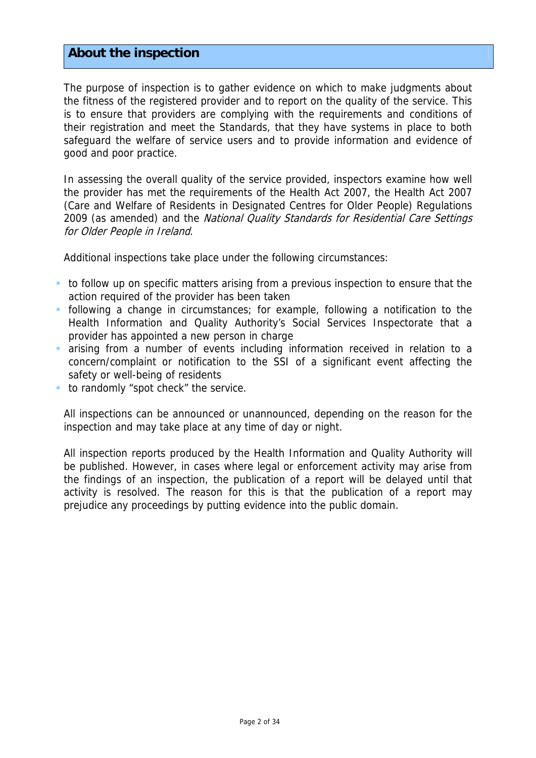# **About the inspection**

The purpose of inspection is to gather evidence on which to make judgments about the fitness of the registered provider and to report on the quality of the service. This is to ensure that providers are complying with the requirements and conditions of their registration and meet the Standards, that they have systems in place to both safeguard the welfare of service users and to provide information and evidence of good and poor practice.

In assessing the overall quality of the service provided, inspectors examine how well the provider has met the requirements of the Health Act 2007, the Health Act 2007 (Care and Welfare of Residents in Designated Centres for Older People) Regulations 2009 (as amended) and the National Quality Standards for Residential Care Settings for Older People in Ireland.

Additional inspections take place under the following circumstances:

- to follow up on specific matters arising from a previous inspection to ensure that the action required of the provider has been taken
- following a change in circumstances; for example, following a notification to the Health Information and Quality Authority's Social Services Inspectorate that a provider has appointed a new person in charge
- arising from a number of events including information received in relation to a concern/complaint or notification to the SSI of a significant event affecting the safety or well-being of residents
- to randomly "spot check" the service.

All inspections can be announced or unannounced, depending on the reason for the inspection and may take place at any time of day or night.

All inspection reports produced by the Health Information and Quality Authority will be published. However, in cases where legal or enforcement activity may arise from the findings of an inspection, the publication of a report will be delayed until that activity is resolved. The reason for this is that the publication of a report may prejudice any proceedings by putting evidence into the public domain.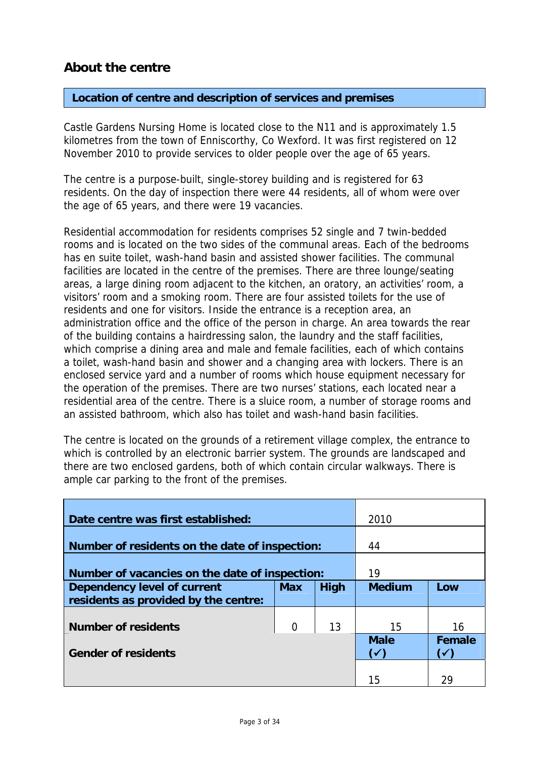# **About the centre**

# **Location of centre and description of services and premises**

Castle Gardens Nursing Home is located close to the N11 and is approximately 1.5 kilometres from the town of Enniscorthy, Co Wexford. It was first registered on 12 November 2010 to provide services to older people over the age of 65 years.

The centre is a purpose-built, single-storey building and is registered for 63 residents. On the day of inspection there were 44 residents, all of whom were over the age of 65 years, and there were 19 vacancies.

Residential accommodation for residents comprises 52 single and 7 twin-bedded rooms and is located on the two sides of the communal areas. Each of the bedrooms has en suite toilet, wash-hand basin and assisted shower facilities. The communal facilities are located in the centre of the premises. There are three lounge/seating areas, a large dining room adjacent to the kitchen, an oratory, an activities' room, a visitors' room and a smoking room. There are four assisted toilets for the use of residents and one for visitors. Inside the entrance is a reception area, an administration office and the office of the person in charge. An area towards the rear of the building contains a hairdressing salon, the laundry and the staff facilities, which comprise a dining area and male and female facilities, each of which contains a toilet, wash-hand basin and shower and a changing area with lockers. There is an enclosed service yard and a number of rooms which house equipment necessary for the operation of the premises. There are two nurses' stations, each located near a residential area of the centre. There is a sluice room, a number of storage rooms and an assisted bathroom, which also has toilet and wash-hand basin facilities.

The centre is located on the grounds of a retirement village complex, the entrance to which is controlled by an electronic barrier system. The grounds are landscaped and there are two enclosed gardens, both of which contain circular walkways. There is ample car parking to the front of the premises.

| Date centre was first established:                                  |            |             | 2010                 |                                |  |
|---------------------------------------------------------------------|------------|-------------|----------------------|--------------------------------|--|
| Number of residents on the date of inspection:                      | 44         |             |                      |                                |  |
| Number of vacancies on the date of inspection:                      |            |             | 19                   |                                |  |
| Dependency level of current<br>residents as provided by the centre: | <b>Max</b> | <b>High</b> | <b>Medium</b><br>Low |                                |  |
| <b>Number of residents</b>                                          | ∩          | 13          | 15                   | 16                             |  |
| <b>Gender of residents</b>                                          |            |             | <b>Male</b>          | Female<br>$\blacktriangledown$ |  |
|                                                                     |            |             | 15                   | 29                             |  |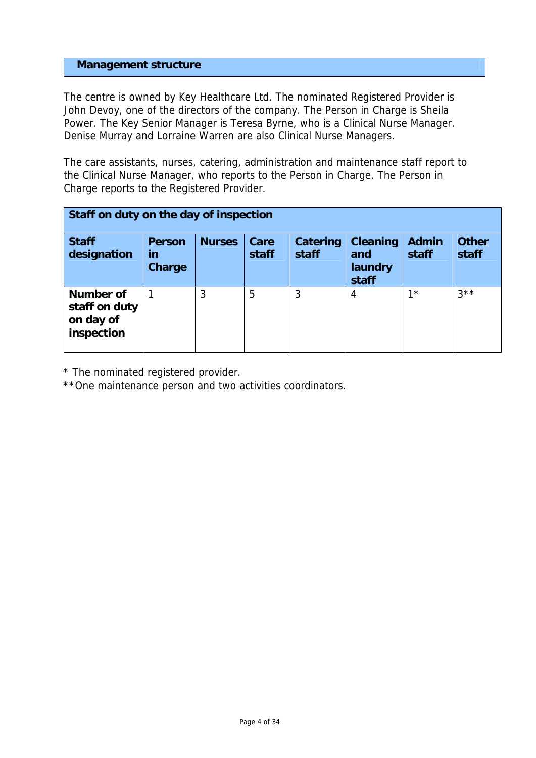# **Management structure**

The centre is owned by Key Healthcare Ltd. The nominated Registered Provider is John Devoy, one of the directors of the company. The Person in Charge is Sheila Power. The Key Senior Manager is Teresa Byrne, who is a Clinical Nurse Manager. Denise Murray and Lorraine Warren are also Clinical Nurse Managers.

The care assistants, nurses, catering, administration and maintenance staff report to the Clinical Nurse Manager, who reports to the Person in Charge. The Person in Charge reports to the Registered Provider.

| Staff on duty on the day of inspection                |                               |               |               |                   |                                            |                       |                       |
|-------------------------------------------------------|-------------------------------|---------------|---------------|-------------------|--------------------------------------------|-----------------------|-----------------------|
| <b>Staff</b><br>designation                           | <b>Person</b><br>in<br>Charge | <b>Nurses</b> | Care<br>staff | Catering<br>staff | <b>Cleaning</b><br>and<br>laundry<br>staff | <b>Admin</b><br>staff | <b>Other</b><br>staff |
| Number of<br>staff on duty<br>on day of<br>inspection |                               | 3             | 5             | 3                 | 4                                          | $1*$                  | $3***$                |

\* The nominated registered provider.

\*\*One maintenance person and two activities coordinators.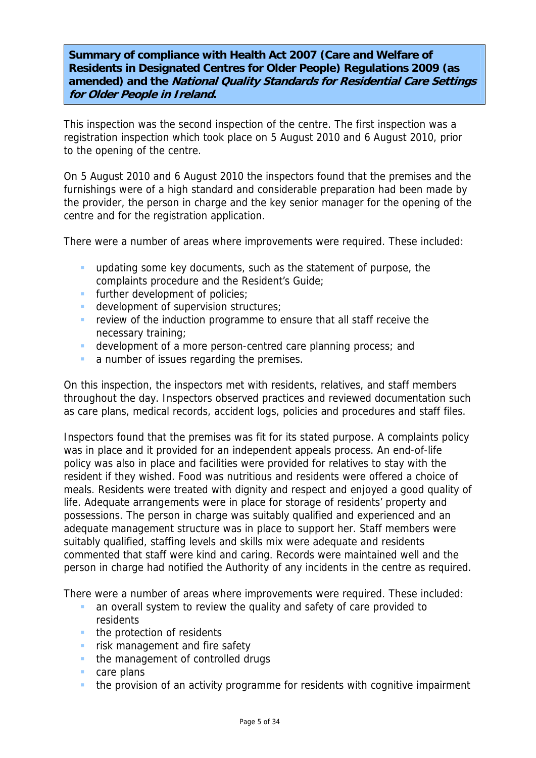**Summary of compliance with Health Act 2007 (Care and Welfare of Residents in Designated Centres for Older People) Regulations 2009 (as amended) and the National Quality Standards for Residential Care Settings for Older People in Ireland.**

This inspection was the second inspection of the centre. The first inspection was a registration inspection which took place on 5 August 2010 and 6 August 2010, prior to the opening of the centre.

On 5 August 2010 and 6 August 2010 the inspectors found that the premises and the furnishings were of a high standard and considerable preparation had been made by the provider, the person in charge and the key senior manager for the opening of the centre and for the registration application.

There were a number of areas where improvements were required. These included:

- updating some key documents, such as the statement of purpose, the complaints procedure and the Resident's Guide;
- **further development of policies;**
- **development of supervision structures;**
- **F** review of the induction programme to ensure that all staff receive the necessary training;
- development of a more person-centred care planning process; and
- **a** number of issues regarding the premises.

On this inspection, the inspectors met with residents, relatives, and staff members throughout the day. Inspectors observed practices and reviewed documentation such as care plans, medical records, accident logs, policies and procedures and staff files.

Inspectors found that the premises was fit for its stated purpose. A complaints policy was in place and it provided for an independent appeals process. An end-of-life policy was also in place and facilities were provided for relatives to stay with the resident if they wished. Food was nutritious and residents were offered a choice of meals. Residents were treated with dignity and respect and enjoyed a good quality of life. Adequate arrangements were in place for storage of residents' property and possessions. The person in charge was suitably qualified and experienced and an adequate management structure was in place to support her. Staff members were suitably qualified, staffing levels and skills mix were adequate and residents commented that staff were kind and caring. Records were maintained well and the person in charge had notified the Authority of any incidents in the centre as required.

There were a number of areas where improvements were required. These included:

- an overall system to review the quality and safety of care provided to residents
- **the protection of residents**
- **Fig. 5** risk management and fire safety
- the management of controlled drugs
- care plans
- the provision of an activity programme for residents with cognitive impairment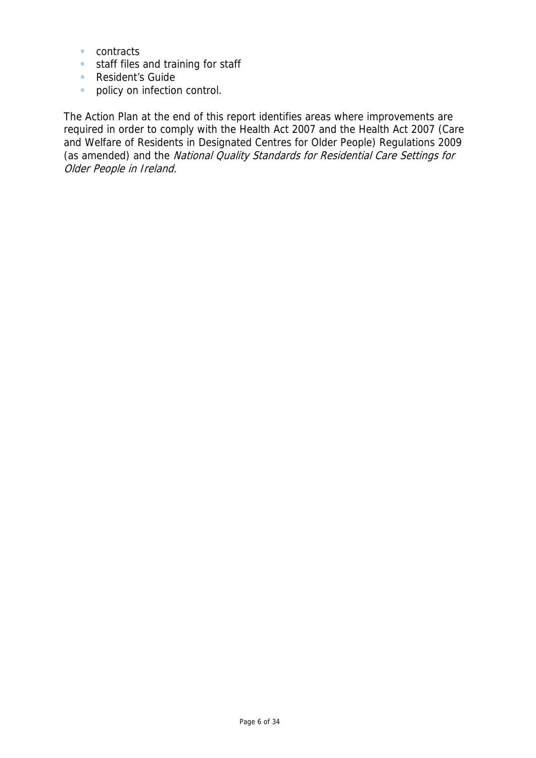- contracts
- **staff files and training for staff**
- **Resident's Guide**
- **•** policy on infection control.

The Action Plan at the end of this report identifies areas where improvements are required in order to comply with the Health Act 2007 and the Health Act 2007 (Care and Welfare of Residents in Designated Centres for Older People) Regulations 2009 (as amended) and the National Quality Standards for Residential Care Settings for Older People in Ireland.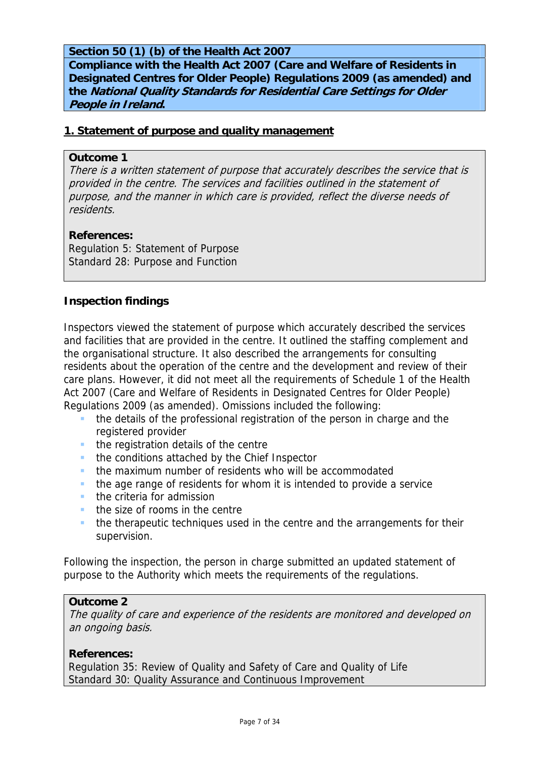# **Section 50 (1) (b) of the Health Act 2007**

**Compliance with the Health Act 2007 (Care and Welfare of Residents in Designated Centres for Older People) Regulations 2009 (as amended) and the National Quality Standards for Residential Care Settings for Older People in Ireland.** 

## **1. Statement of purpose and quality management**

### **Outcome 1**

There is a written statement of purpose that accurately describes the service that is provided in the centre. The services and facilities outlined in the statement of purpose, and the manner in which care is provided, reflect the diverse needs of residents.

### **References:**

Regulation 5: Statement of Purpose Standard 28: Purpose and Function

### **Inspection findings**

Inspectors viewed the statement of purpose which accurately described the services and facilities that are provided in the centre. It outlined the staffing complement and the organisational structure. It also described the arrangements for consulting residents about the operation of the centre and the development and review of their care plans. However, it did not meet all the requirements of Schedule 1 of the Health Act 2007 (Care and Welfare of Residents in Designated Centres for Older People) Regulations 2009 (as amended). Omissions included the following:

- the details of the professional registration of the person in charge and the registered provider
- the registration details of the centre
- **the conditions attached by the Chief Inspector**
- **the maximum number of residents who will be accommodated**
- the age range of residents for whom it is intended to provide a service
- **the criteria for admission**
- $\blacksquare$  the size of rooms in the centre
- the therapeutic techniques used in the centre and the arrangements for their supervision.

Following the inspection, the person in charge submitted an updated statement of purpose to the Authority which meets the requirements of the regulations.

### **Outcome 2**

The quality of care and experience of the residents are monitored and developed on an ongoing basis.

#### **References:**

Regulation 35: Review of Quality and Safety of Care and Quality of Life Standard 30: Quality Assurance and Continuous Improvement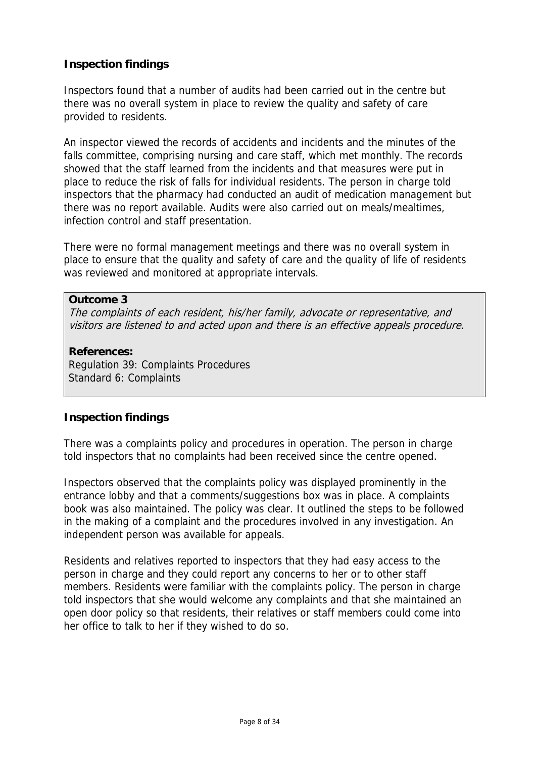# **Inspection findings**

Inspectors found that a number of audits had been carried out in the centre but there was no overall system in place to review the quality and safety of care provided to residents.

An inspector viewed the records of accidents and incidents and the minutes of the falls committee, comprising nursing and care staff, which met monthly. The records showed that the staff learned from the incidents and that measures were put in place to reduce the risk of falls for individual residents. The person in charge told inspectors that the pharmacy had conducted an audit of medication management but there was no report available. Audits were also carried out on meals/mealtimes, infection control and staff presentation.

There were no formal management meetings and there was no overall system in place to ensure that the quality and safety of care and the quality of life of residents was reviewed and monitored at appropriate intervals.

#### **Outcome 3**

The complaints of each resident, his/her family, advocate or representative, and visitors are listened to and acted upon and there is an effective appeals procedure.

## **References:**

Regulation 39: Complaints Procedures Standard 6: Complaints

### **Inspection findings**

There was a complaints policy and procedures in operation. The person in charge told inspectors that no complaints had been received since the centre opened.

Inspectors observed that the complaints policy was displayed prominently in the entrance lobby and that a comments/suggestions box was in place. A complaints book was also maintained. The policy was clear. It outlined the steps to be followed in the making of a complaint and the procedures involved in any investigation. An independent person was available for appeals.

Residents and relatives reported to inspectors that they had easy access to the person in charge and they could report any concerns to her or to other staff members. Residents were familiar with the complaints policy. The person in charge told inspectors that she would welcome any complaints and that she maintained an open door policy so that residents, their relatives or staff members could come into her office to talk to her if they wished to do so.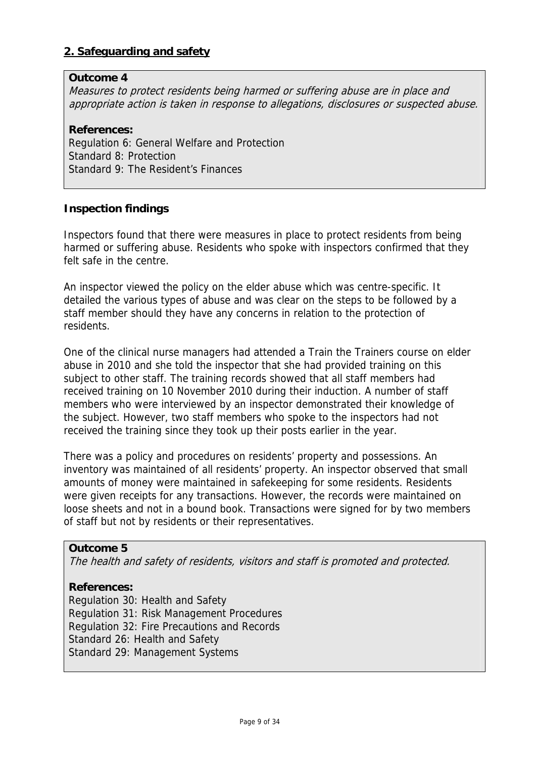# **2. Safeguarding and safety**

### **Outcome 4**

Measures to protect residents being harmed or suffering abuse are in place and appropriate action is taken in response to allegations, disclosures or suspected abuse.

#### **References:**

Regulation 6: General Welfare and Protection Standard 8: Protection Standard 9: The Resident's Finances

### **Inspection findings**

Inspectors found that there were measures in place to protect residents from being harmed or suffering abuse. Residents who spoke with inspectors confirmed that they felt safe in the centre.

An inspector viewed the policy on the elder abuse which was centre-specific. It detailed the various types of abuse and was clear on the steps to be followed by a staff member should they have any concerns in relation to the protection of residents.

One of the clinical nurse managers had attended a Train the Trainers course on elder abuse in 2010 and she told the inspector that she had provided training on this subject to other staff. The training records showed that all staff members had received training on 10 November 2010 during their induction. A number of staff members who were interviewed by an inspector demonstrated their knowledge of the subject. However, two staff members who spoke to the inspectors had not received the training since they took up their posts earlier in the year.

There was a policy and procedures on residents' property and possessions. An inventory was maintained of all residents' property. An inspector observed that small amounts of money were maintained in safekeeping for some residents. Residents were given receipts for any transactions. However, the records were maintained on loose sheets and not in a bound book. Transactions were signed for by two members of staff but not by residents or their representatives.

#### **Outcome 5**

The health and safety of residents, visitors and staff is promoted and protected.

### **References:**

Regulation 30: Health and Safety Regulation 31: Risk Management Procedures Regulation 32: Fire Precautions and Records Standard 26: Health and Safety Standard 29: Management Systems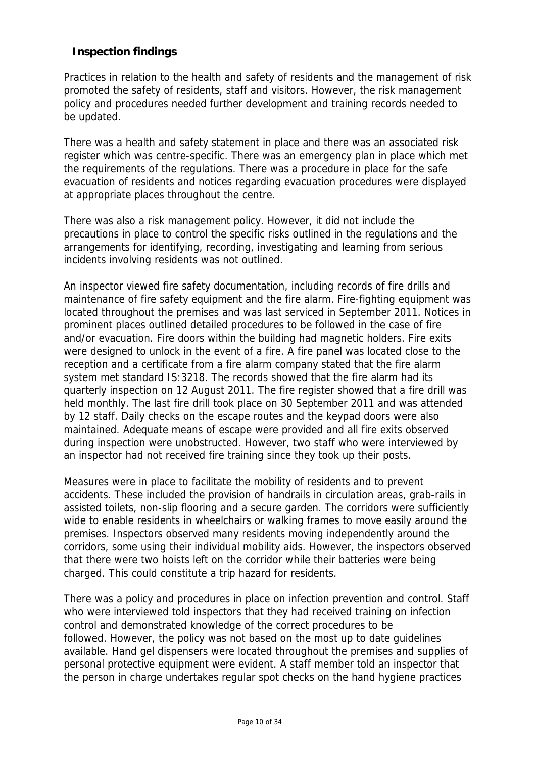# **Inspection findings**

Practices in relation to the health and safety of residents and the management of risk promoted the safety of residents, staff and visitors. However, the risk management policy and procedures needed further development and training records needed to be updated.

There was a health and safety statement in place and there was an associated risk register which was centre-specific. There was an emergency plan in place which met the requirements of the regulations. There was a procedure in place for the safe evacuation of residents and notices regarding evacuation procedures were displayed at appropriate places throughout the centre.

There was also a risk management policy. However, it did not include the precautions in place to control the specific risks outlined in the regulations and the arrangements for identifying, recording, investigating and learning from serious incidents involving residents was not outlined.

An inspector viewed fire safety documentation, including records of fire drills and maintenance of fire safety equipment and the fire alarm. Fire-fighting equipment was located throughout the premises and was last serviced in September 2011. Notices in prominent places outlined detailed procedures to be followed in the case of fire and/or evacuation. Fire doors within the building had magnetic holders. Fire exits were designed to unlock in the event of a fire. A fire panel was located close to the reception and a certificate from a fire alarm company stated that the fire alarm system met standard IS:3218. The records showed that the fire alarm had its quarterly inspection on 12 August 2011. The fire register showed that a fire drill was held monthly. The last fire drill took place on 30 September 2011 and was attended by 12 staff. Daily checks on the escape routes and the keypad doors were also maintained. Adequate means of escape were provided and all fire exits observed during inspection were unobstructed. However, two staff who were interviewed by an inspector had not received fire training since they took up their posts.

Measures were in place to facilitate the mobility of residents and to prevent accidents. These included the provision of handrails in circulation areas, grab-rails in assisted toilets, non-slip flooring and a secure garden. The corridors were sufficiently wide to enable residents in wheelchairs or walking frames to move easily around the premises. Inspectors observed many residents moving independently around the corridors, some using their individual mobility aids. However, the inspectors observed that there were two hoists left on the corridor while their batteries were being charged. This could constitute a trip hazard for residents.

There was a policy and procedures in place on infection prevention and control. Staff who were interviewed told inspectors that they had received training on infection control and demonstrated knowledge of the correct procedures to be followed. However, the policy was not based on the most up to date guidelines available. Hand gel dispensers were located throughout the premises and supplies of personal protective equipment were evident. A staff member told an inspector that the person in charge undertakes regular spot checks on the hand hygiene practices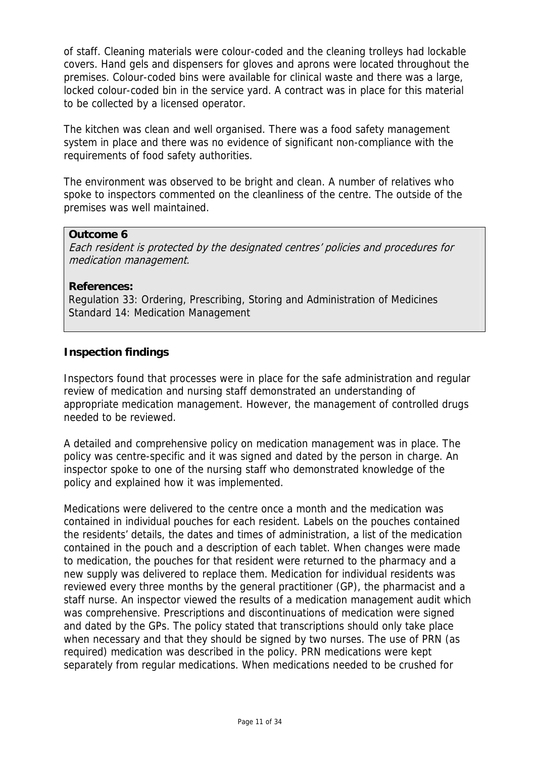of staff. Cleaning materials were colour-coded and the cleaning trolleys had lockable covers. Hand gels and dispensers for gloves and aprons were located throughout the premises. Colour-coded bins were available for clinical waste and there was a large, locked colour-coded bin in the service yard. A contract was in place for this material to be collected by a licensed operator.

The kitchen was clean and well organised. There was a food safety management system in place and there was no evidence of significant non-compliance with the requirements of food safety authorities.

The environment was observed to be bright and clean. A number of relatives who spoke to inspectors commented on the cleanliness of the centre. The outside of the premises was well maintained.

### **Outcome 6**

Each resident is protected by the designated centres' policies and procedures for medication management.

#### **References:**

Regulation 33: Ordering, Prescribing, Storing and Administration of Medicines Standard 14: Medication Management

### **Inspection findings**

Inspectors found that processes were in place for the safe administration and regular review of medication and nursing staff demonstrated an understanding of appropriate medication management. However, the management of controlled drugs needed to be reviewed.

A detailed and comprehensive policy on medication management was in place. The policy was centre-specific and it was signed and dated by the person in charge. An inspector spoke to one of the nursing staff who demonstrated knowledge of the policy and explained how it was implemented.

Medications were delivered to the centre once a month and the medication was contained in individual pouches for each resident. Labels on the pouches contained the residents' details, the dates and times of administration, a list of the medication contained in the pouch and a description of each tablet. When changes were made to medication, the pouches for that resident were returned to the pharmacy and a new supply was delivered to replace them. Medication for individual residents was reviewed every three months by the general practitioner (GP), the pharmacist and a staff nurse. An inspector viewed the results of a medication management audit which was comprehensive. Prescriptions and discontinuations of medication were signed and dated by the GPs. The policy stated that transcriptions should only take place when necessary and that they should be signed by two nurses. The use of PRN (as required) medication was described in the policy. PRN medications were kept separately from regular medications. When medications needed to be crushed for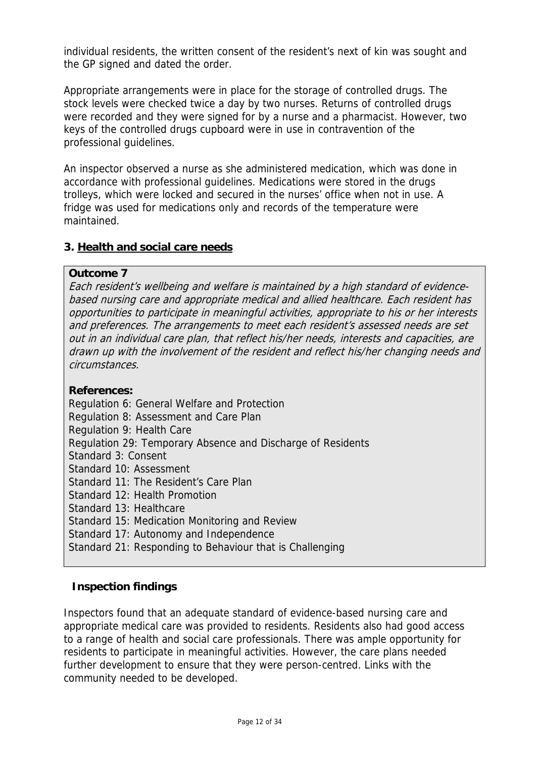individual residents, the written consent of the resident's next of kin was sought and the GP signed and dated the order.

Appropriate arrangements were in place for the storage of controlled drugs. The stock levels were checked twice a day by two nurses. Returns of controlled drugs were recorded and they were signed for by a nurse and a pharmacist. However, two keys of the controlled drugs cupboard were in use in contravention of the professional guidelines.

An inspector observed a nurse as she administered medication, which was done in accordance with professional guidelines. Medications were stored in the drugs trolleys, which were locked and secured in the nurses' office when not in use. A fridge was used for medications only and records of the temperature were maintained.

# **3. Health and social care needs**

### **Outcome 7**

Each resident's wellbeing and welfare is maintained by a high standard of evidencebased nursing care and appropriate medical and allied healthcare. Each resident has opportunities to participate in meaningful activities, appropriate to his or her interests and preferences. The arrangements to meet each resident's assessed needs are set out in an individual care plan, that reflect his/her needs, interests and capacities, are drawn up with the involvement of the resident and reflect his/her changing needs and circumstances.

### **References:**

Regulation 6: General Welfare and Protection Regulation 8: Assessment and Care Plan Regulation 9: Health Care Regulation 29: Temporary Absence and Discharge of Residents Standard 3: Consent Standard 10: Assessment Standard 11: The Resident's Care Plan Standard 12: Health Promotion Standard 13: Healthcare Standard 15: Medication Monitoring and Review Standard 17: Autonomy and Independence Standard 21: Responding to Behaviour that is Challenging

### **Inspection findings**

Inspectors found that an adequate standard of evidence-based nursing care and appropriate medical care was provided to residents. Residents also had good access to a range of health and social care professionals. There was ample opportunity for residents to participate in meaningful activities. However, the care plans needed further development to ensure that they were person-centred. Links with the community needed to be developed.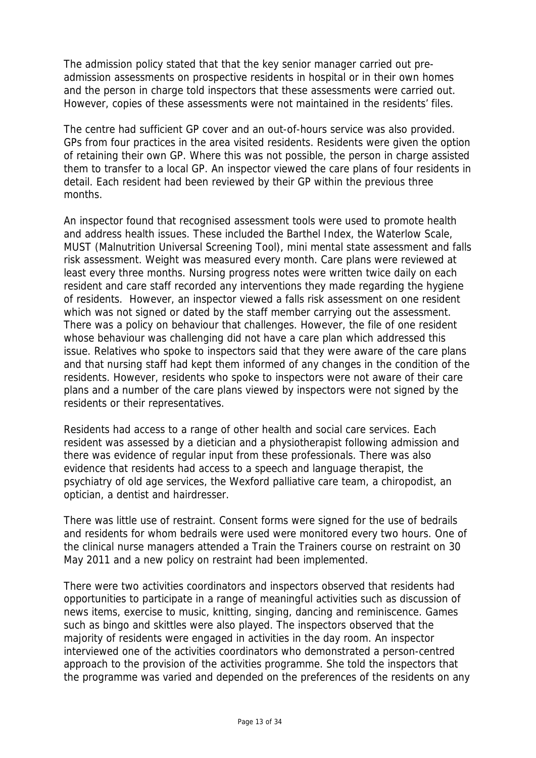The admission policy stated that that the key senior manager carried out preadmission assessments on prospective residents in hospital or in their own homes and the person in charge told inspectors that these assessments were carried out. However, copies of these assessments were not maintained in the residents' files.

The centre had sufficient GP cover and an out-of-hours service was also provided. GPs from four practices in the area visited residents. Residents were given the option of retaining their own GP. Where this was not possible, the person in charge assisted them to transfer to a local GP. An inspector viewed the care plans of four residents in detail. Each resident had been reviewed by their GP within the previous three months.

An inspector found that recognised assessment tools were used to promote health and address health issues. These included the Barthel Index, the Waterlow Scale, MUST (Malnutrition Universal Screening Tool), mini mental state assessment and falls risk assessment. Weight was measured every month. Care plans were reviewed at least every three months. Nursing progress notes were written twice daily on each resident and care staff recorded any interventions they made regarding the hygiene of residents. However, an inspector viewed a falls risk assessment on one resident which was not signed or dated by the staff member carrying out the assessment. There was a policy on behaviour that challenges. However, the file of one resident whose behaviour was challenging did not have a care plan which addressed this issue. Relatives who spoke to inspectors said that they were aware of the care plans and that nursing staff had kept them informed of any changes in the condition of the residents. However, residents who spoke to inspectors were not aware of their care plans and a number of the care plans viewed by inspectors were not signed by the residents or their representatives.

Residents had access to a range of other health and social care services. Each resident was assessed by a dietician and a physiotherapist following admission and there was evidence of regular input from these professionals. There was also evidence that residents had access to a speech and language therapist, the psychiatry of old age services, the Wexford palliative care team, a chiropodist, an optician, a dentist and hairdresser.

There was little use of restraint. Consent forms were signed for the use of bedrails and residents for whom bedrails were used were monitored every two hours. One of the clinical nurse managers attended a Train the Trainers course on restraint on 30 May 2011 and a new policy on restraint had been implemented.

There were two activities coordinators and inspectors observed that residents had opportunities to participate in a range of meaningful activities such as discussion of news items, exercise to music, knitting, singing, dancing and reminiscence. Games such as bingo and skittles were also played. The inspectors observed that the majority of residents were engaged in activities in the day room. An inspector interviewed one of the activities coordinators who demonstrated a person-centred approach to the provision of the activities programme. She told the inspectors that the programme was varied and depended on the preferences of the residents on any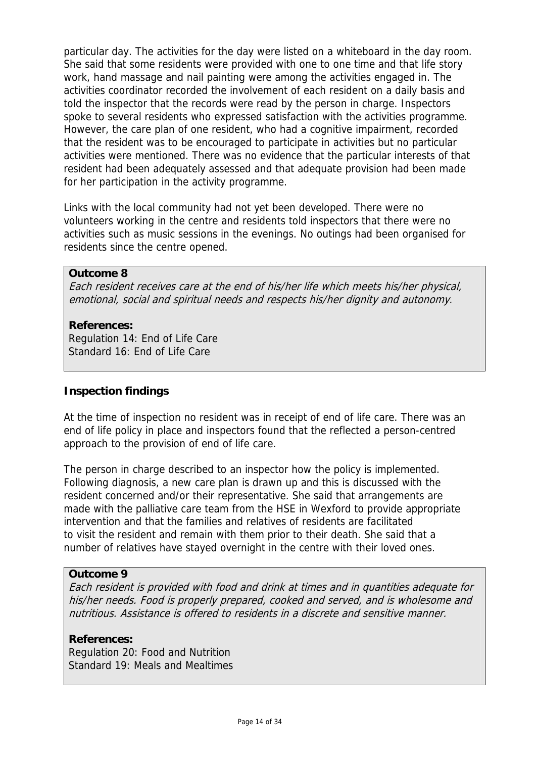particular day. The activities for the day were listed on a whiteboard in the day room. She said that some residents were provided with one to one time and that life story work, hand massage and nail painting were among the activities engaged in. The activities coordinator recorded the involvement of each resident on a daily basis and told the inspector that the records were read by the person in charge. Inspectors spoke to several residents who expressed satisfaction with the activities programme. However, the care plan of one resident, who had a cognitive impairment, recorded that the resident was to be encouraged to participate in activities but no particular activities were mentioned. There was no evidence that the particular interests of that resident had been adequately assessed and that adequate provision had been made for her participation in the activity programme.

Links with the local community had not yet been developed. There were no volunteers working in the centre and residents told inspectors that there were no activities such as music sessions in the evenings. No outings had been organised for residents since the centre opened.

### **Outcome 8**

Each resident receives care at the end of his/her life which meets his/her physical, emotional, social and spiritual needs and respects his/her dignity and autonomy.

### **References:**

Regulation 14: End of Life Care Standard 16: End of Life Care

### **Inspection findings**

At the time of inspection no resident was in receipt of end of life care. There was an end of life policy in place and inspectors found that the reflected a person-centred approach to the provision of end of life care.

The person in charge described to an inspector how the policy is implemented. Following diagnosis, a new care plan is drawn up and this is discussed with the resident concerned and/or their representative. She said that arrangements are made with the palliative care team from the HSE in Wexford to provide appropriate intervention and that the families and relatives of residents are facilitated to visit the resident and remain with them prior to their death. She said that a number of relatives have stayed overnight in the centre with their loved ones.

### **Outcome 9**

Each resident is provided with food and drink at times and in quantities adequate for his/her needs. Food is properly prepared, cooked and served, and is wholesome and nutritious. Assistance is offered to residents in a discrete and sensitive manner.

### **References:**

Regulation 20: Food and Nutrition Standard 19: Meals and Mealtimes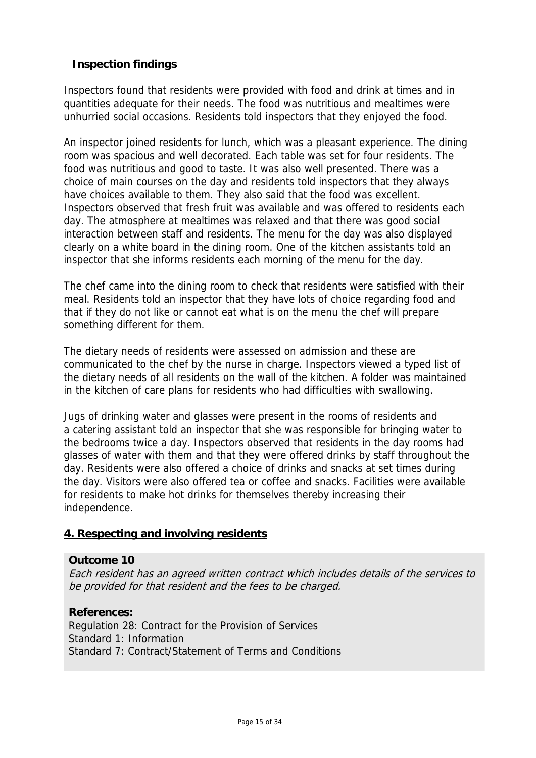# **Inspection findings**

Inspectors found that residents were provided with food and drink at times and in quantities adequate for their needs. The food was nutritious and mealtimes were unhurried social occasions. Residents told inspectors that they enjoyed the food.

An inspector joined residents for lunch, which was a pleasant experience. The dining room was spacious and well decorated. Each table was set for four residents. The food was nutritious and good to taste. It was also well presented. There was a choice of main courses on the day and residents told inspectors that they always have choices available to them. They also said that the food was excellent. Inspectors observed that fresh fruit was available and was offered to residents each day. The atmosphere at mealtimes was relaxed and that there was good social interaction between staff and residents. The menu for the day was also displayed clearly on a white board in the dining room. One of the kitchen assistants told an inspector that she informs residents each morning of the menu for the day.

The chef came into the dining room to check that residents were satisfied with their meal. Residents told an inspector that they have lots of choice regarding food and that if they do not like or cannot eat what is on the menu the chef will prepare something different for them.

The dietary needs of residents were assessed on admission and these are communicated to the chef by the nurse in charge. Inspectors viewed a typed list of the dietary needs of all residents on the wall of the kitchen. A folder was maintained in the kitchen of care plans for residents who had difficulties with swallowing.

Jugs of drinking water and glasses were present in the rooms of residents and a catering assistant told an inspector that she was responsible for bringing water to the bedrooms twice a day. Inspectors observed that residents in the day rooms had glasses of water with them and that they were offered drinks by staff throughout the day. Residents were also offered a choice of drinks and snacks at set times during the day. Visitors were also offered tea or coffee and snacks. Facilities were available for residents to make hot drinks for themselves thereby increasing their independence.

# **4. Respecting and involving residents**

#### **Outcome 10**

Each resident has an agreed written contract which includes details of the services to be provided for that resident and the fees to be charged.

### **References:**

Regulation 28: Contract for the Provision of Services Standard 1: Information Standard 7: Contract/Statement of Terms and Conditions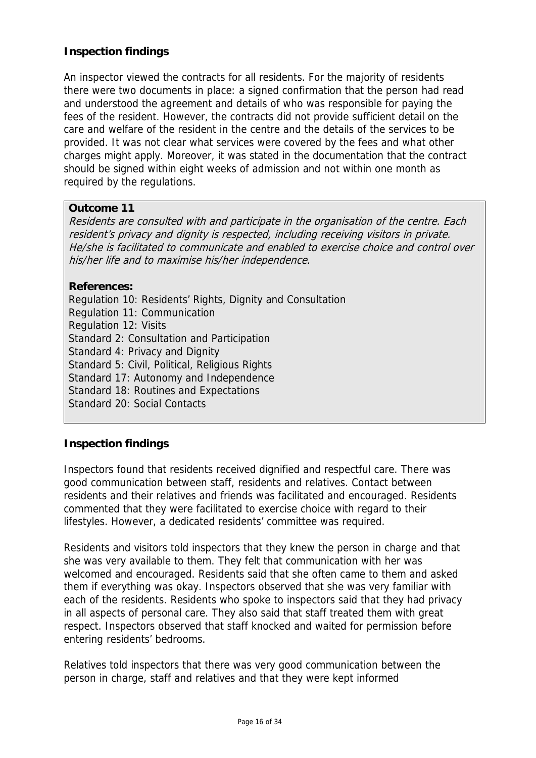# **Inspection findings**

An inspector viewed the contracts for all residents. For the majority of residents there were two documents in place: a signed confirmation that the person had read and understood the agreement and details of who was responsible for paying the fees of the resident. However, the contracts did not provide sufficient detail on the care and welfare of the resident in the centre and the details of the services to be provided. It was not clear what services were covered by the fees and what other charges might apply. Moreover, it was stated in the documentation that the contract should be signed within eight weeks of admission and not within one month as required by the regulations.

### **Outcome 11**

Residents are consulted with and participate in the organisation of the centre. Each resident's privacy and dignity is respected, including receiving visitors in private. He/she is facilitated to communicate and enabled to exercise choice and control over his/her life and to maximise his/her independence.

### **References:**

Regulation 10: Residents' Rights, Dignity and Consultation Regulation 11: Communication Regulation 12: Visits Standard 2: Consultation and Participation Standard 4: Privacy and Dignity Standard 5: Civil, Political, Religious Rights Standard 17: Autonomy and Independence Standard 18: Routines and Expectations Standard 20: Social Contacts

### **Inspection findings**

Inspectors found that residents received dignified and respectful care. There was good communication between staff, residents and relatives. Contact between residents and their relatives and friends was facilitated and encouraged. Residents commented that they were facilitated to exercise choice with regard to their lifestyles. However, a dedicated residents' committee was required.

Residents and visitors told inspectors that they knew the person in charge and that she was very available to them. They felt that communication with her was welcomed and encouraged. Residents said that she often came to them and asked them if everything was okay. Inspectors observed that she was very familiar with each of the residents. Residents who spoke to inspectors said that they had privacy in all aspects of personal care. They also said that staff treated them with great respect. Inspectors observed that staff knocked and waited for permission before entering residents' bedrooms.

Relatives told inspectors that there was very good communication between the person in charge, staff and relatives and that they were kept informed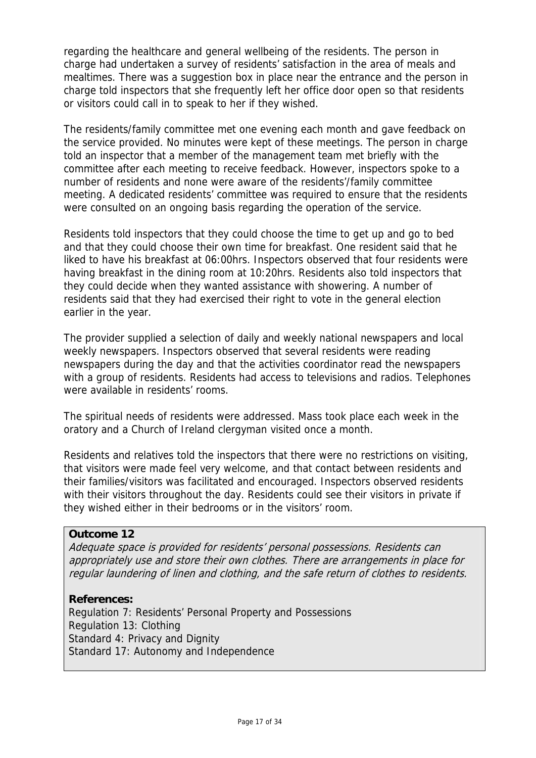regarding the healthcare and general wellbeing of the residents. The person in charge had undertaken a survey of residents' satisfaction in the area of meals and mealtimes. There was a suggestion box in place near the entrance and the person in charge told inspectors that she frequently left her office door open so that residents or visitors could call in to speak to her if they wished.

The residents/family committee met one evening each month and gave feedback on the service provided. No minutes were kept of these meetings. The person in charge told an inspector that a member of the management team met briefly with the committee after each meeting to receive feedback. However, inspectors spoke to a number of residents and none were aware of the residents'/family committee meeting. A dedicated residents' committee was required to ensure that the residents were consulted on an ongoing basis regarding the operation of the service.

Residents told inspectors that they could choose the time to get up and go to bed and that they could choose their own time for breakfast. One resident said that he liked to have his breakfast at 06:00hrs. Inspectors observed that four residents were having breakfast in the dining room at 10:20hrs. Residents also told inspectors that they could decide when they wanted assistance with showering. A number of residents said that they had exercised their right to vote in the general election earlier in the year.

The provider supplied a selection of daily and weekly national newspapers and local weekly newspapers. Inspectors observed that several residents were reading newspapers during the day and that the activities coordinator read the newspapers with a group of residents. Residents had access to televisions and radios. Telephones were available in residents' rooms.

The spiritual needs of residents were addressed. Mass took place each week in the oratory and a Church of Ireland clergyman visited once a month.

Residents and relatives told the inspectors that there were no restrictions on visiting, that visitors were made feel very welcome, and that contact between residents and their families/visitors was facilitated and encouraged. Inspectors observed residents with their visitors throughout the day. Residents could see their visitors in private if they wished either in their bedrooms or in the visitors' room.

#### **Outcome 12**

Adequate space is provided for residents' personal possessions. Residents can appropriately use and store their own clothes. There are arrangements in place for regular laundering of linen and clothing, and the safe return of clothes to residents.

#### **References:**

Regulation 7: Residents' Personal Property and Possessions Regulation 13: Clothing Standard 4: Privacy and Dignity Standard 17: Autonomy and Independence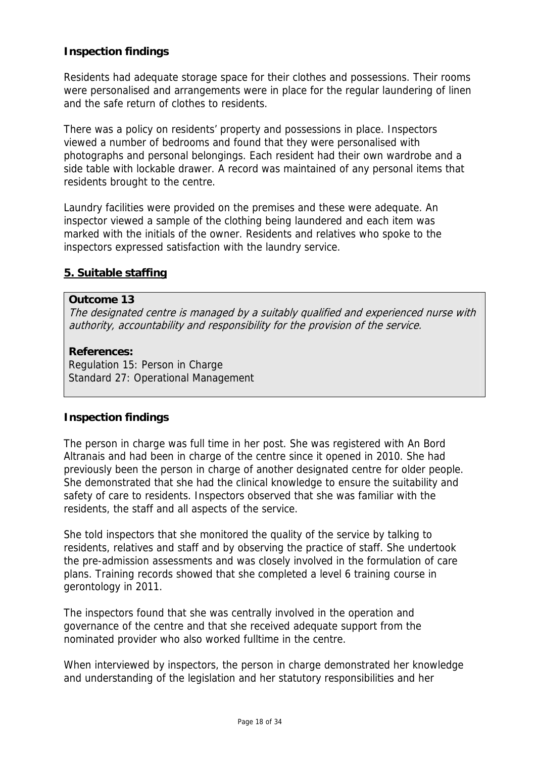# **Inspection findings**

Residents had adequate storage space for their clothes and possessions. Their rooms were personalised and arrangements were in place for the regular laundering of linen and the safe return of clothes to residents.

There was a policy on residents' property and possessions in place. Inspectors viewed a number of bedrooms and found that they were personalised with photographs and personal belongings. Each resident had their own wardrobe and a side table with lockable drawer. A record was maintained of any personal items that residents brought to the centre.

Laundry facilities were provided on the premises and these were adequate. An inspector viewed a sample of the clothing being laundered and each item was marked with the initials of the owner. Residents and relatives who spoke to the inspectors expressed satisfaction with the laundry service.

### **5. Suitable staffing**

### **Outcome 13**

The designated centre is managed by a suitably qualified and experienced nurse with authority, accountability and responsibility for the provision of the service.

#### **References:**

Regulation 15: Person in Charge Standard 27: Operational Management

### **Inspection findings**

The person in charge was full time in her post. She was registered with An Bord Altranais and had been in charge of the centre since it opened in 2010. She had previously been the person in charge of another designated centre for older people. She demonstrated that she had the clinical knowledge to ensure the suitability and safety of care to residents. Inspectors observed that she was familiar with the residents, the staff and all aspects of the service.

She told inspectors that she monitored the quality of the service by talking to residents, relatives and staff and by observing the practice of staff. She undertook the pre-admission assessments and was closely involved in the formulation of care plans. Training records showed that she completed a level 6 training course in gerontology in 2011.

The inspectors found that she was centrally involved in the operation and governance of the centre and that she received adequate support from the nominated provider who also worked fulltime in the centre.

When interviewed by inspectors, the person in charge demonstrated her knowledge and understanding of the legislation and her statutory responsibilities and her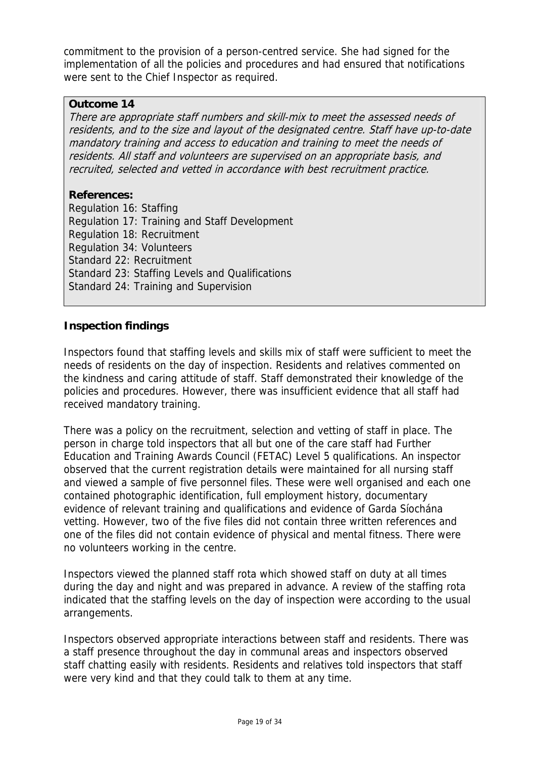commitment to the provision of a person-centred service. She had signed for the implementation of all the policies and procedures and had ensured that notifications were sent to the Chief Inspector as required.

### **Outcome 14**

There are appropriate staff numbers and skill-mix to meet the assessed needs of residents, and to the size and layout of the designated centre. Staff have up-to-date mandatory training and access to education and training to meet the needs of residents. All staff and volunteers are supervised on an appropriate basis, and recruited, selected and vetted in accordance with best recruitment practice.

### **References:**

Regulation 16: Staffing Regulation 17: Training and Staff Development Regulation 18: Recruitment Regulation 34: Volunteers Standard 22: Recruitment Standard 23: Staffing Levels and Qualifications Standard 24: Training and Supervision

### **Inspection findings**

Inspectors found that staffing levels and skills mix of staff were sufficient to meet the needs of residents on the day of inspection. Residents and relatives commented on the kindness and caring attitude of staff. Staff demonstrated their knowledge of the policies and procedures. However, there was insufficient evidence that all staff had received mandatory training.

There was a policy on the recruitment, selection and vetting of staff in place. The person in charge told inspectors that all but one of the care staff had Further Education and Training Awards Council (FETAC) Level 5 qualifications. An inspector observed that the current registration details were maintained for all nursing staff and viewed a sample of five personnel files. These were well organised and each one contained photographic identification, full employment history, documentary evidence of relevant training and qualifications and evidence of Garda Síochána vetting. However, two of the five files did not contain three written references and one of the files did not contain evidence of physical and mental fitness. There were no volunteers working in the centre.

Inspectors viewed the planned staff rota which showed staff on duty at all times during the day and night and was prepared in advance. A review of the staffing rota indicated that the staffing levels on the day of inspection were according to the usual arrangements.

Inspectors observed appropriate interactions between staff and residents. There was a staff presence throughout the day in communal areas and inspectors observed staff chatting easily with residents. Residents and relatives told inspectors that staff were very kind and that they could talk to them at any time.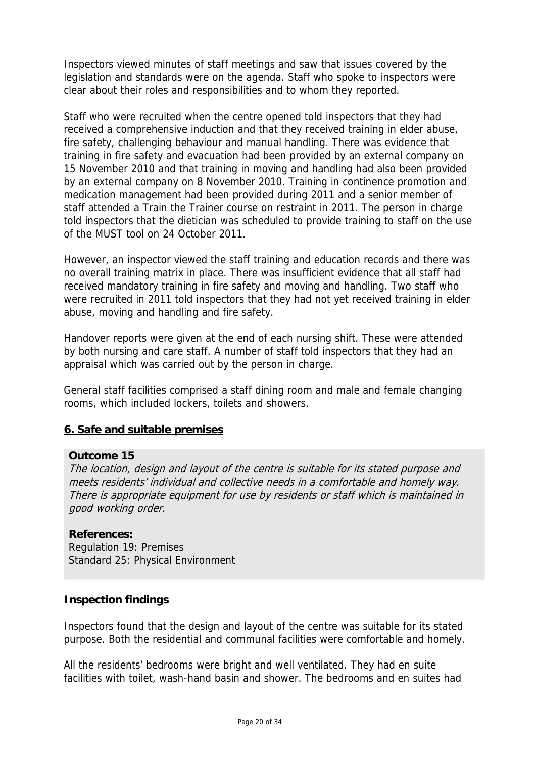Inspectors viewed minutes of staff meetings and saw that issues covered by the legislation and standards were on the agenda. Staff who spoke to inspectors were clear about their roles and responsibilities and to whom they reported.

Staff who were recruited when the centre opened told inspectors that they had received a comprehensive induction and that they received training in elder abuse, fire safety, challenging behaviour and manual handling. There was evidence that training in fire safety and evacuation had been provided by an external company on 15 November 2010 and that training in moving and handling had also been provided by an external company on 8 November 2010. Training in continence promotion and medication management had been provided during 2011 and a senior member of staff attended a Train the Trainer course on restraint in 2011. The person in charge told inspectors that the dietician was scheduled to provide training to staff on the use of the MUST tool on 24 October 2011.

However, an inspector viewed the staff training and education records and there was no overall training matrix in place. There was insufficient evidence that all staff had received mandatory training in fire safety and moving and handling. Two staff who were recruited in 2011 told inspectors that they had not yet received training in elder abuse, moving and handling and fire safety.

Handover reports were given at the end of each nursing shift. These were attended by both nursing and care staff. A number of staff told inspectors that they had an appraisal which was carried out by the person in charge.

General staff facilities comprised a staff dining room and male and female changing rooms, which included lockers, toilets and showers.

# **6. Safe and suitable premises**

#### **Outcome 15**

The location, design and layout of the centre is suitable for its stated purpose and meets residents' individual and collective needs in a comfortable and homely way. There is appropriate equipment for use by residents or staff which is maintained in good working order.

#### **References:**

Regulation 19: Premises Standard 25: Physical Environment

### **Inspection findings**

Inspectors found that the design and layout of the centre was suitable for its stated purpose. Both the residential and communal facilities were comfortable and homely.

All the residents' bedrooms were bright and well ventilated. They had en suite facilities with toilet, wash-hand basin and shower. The bedrooms and en suites had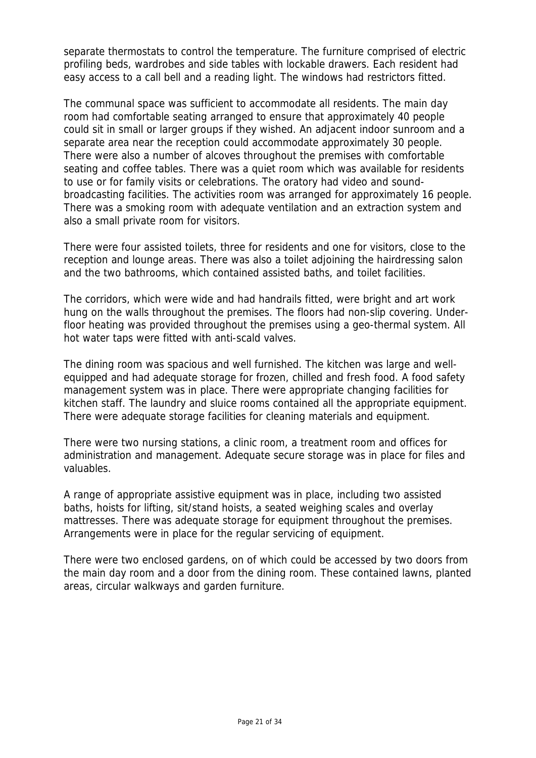separate thermostats to control the temperature. The furniture comprised of electric profiling beds, wardrobes and side tables with lockable drawers. Each resident had easy access to a call bell and a reading light. The windows had restrictors fitted.

The communal space was sufficient to accommodate all residents. The main day room had comfortable seating arranged to ensure that approximately 40 people could sit in small or larger groups if they wished. An adjacent indoor sunroom and a separate area near the reception could accommodate approximately 30 people. There were also a number of alcoves throughout the premises with comfortable seating and coffee tables. There was a quiet room which was available for residents to use or for family visits or celebrations. The oratory had video and soundbroadcasting facilities. The activities room was arranged for approximately 16 people. There was a smoking room with adequate ventilation and an extraction system and also a small private room for visitors.

There were four assisted toilets, three for residents and one for visitors, close to the reception and lounge areas. There was also a toilet adjoining the hairdressing salon and the two bathrooms, which contained assisted baths, and toilet facilities.

The corridors, which were wide and had handrails fitted, were bright and art work hung on the walls throughout the premises. The floors had non-slip covering. Underfloor heating was provided throughout the premises using a geo-thermal system. All hot water taps were fitted with anti-scald valves.

The dining room was spacious and well furnished. The kitchen was large and wellequipped and had adequate storage for frozen, chilled and fresh food. A food safety management system was in place. There were appropriate changing facilities for kitchen staff. The laundry and sluice rooms contained all the appropriate equipment. There were adequate storage facilities for cleaning materials and equipment.

There were two nursing stations, a clinic room, a treatment room and offices for administration and management. Adequate secure storage was in place for files and valuables.

A range of appropriate assistive equipment was in place, including two assisted baths, hoists for lifting, sit/stand hoists, a seated weighing scales and overlay mattresses. There was adequate storage for equipment throughout the premises. Arrangements were in place for the regular servicing of equipment.

There were two enclosed gardens, on of which could be accessed by two doors from the main day room and a door from the dining room. These contained lawns, planted areas, circular walkways and garden furniture.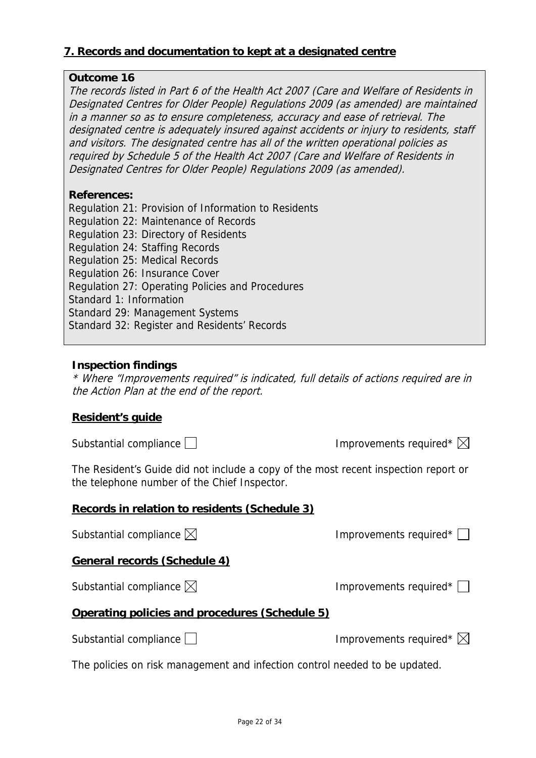# **7. Records and documentation to kept at a designated centre**

### **Outcome 16**

The records listed in Part 6 of the Health Act 2007 (Care and Welfare of Residents in Designated Centres for Older People) Regulations 2009 (as amended) are maintained in a manner so as to ensure completeness, accuracy and ease of retrieval. The designated centre is adequately insured against accidents or injury to residents, staff and visitors. The designated centre has all of the written operational policies as required by Schedule 5 of the Health Act 2007 (Care and Welfare of Residents in Designated Centres for Older People) Regulations 2009 (as amended).

### **References:**

Regulation 21: Provision of Information to Residents Regulation 22: Maintenance of Records Regulation 23: Directory of Residents Regulation 24: Staffing Records Regulation 25: Medical Records Regulation 26: Insurance Cover Regulation 27: Operating Policies and Procedures Standard 1: Information Standard 29: Management Systems Standard 32: Register and Residents' Records

### **Inspection findings**

\* Where "Improvements required" is indicated, full details of actions required are in the Action Plan at the end of the report.

### **Resident's guide**

Substantial compliance  $\Box$ 

The Resident's Guide did not include a copy of the most recent inspection report or the telephone number of the Chief Inspector.

#### **Records in relation to residents (Schedule 3)**

Substantial compliance  $\boxtimes$  **Improvements required**<sup>\*</sup>

**General records (Schedule 4)**

Substantial compliance  $\boxtimes$  **Improvements required**<sup>\*</sup>  $\Box$ 

### **Operating policies and procedures (Schedule 5)**

Substantial compliance  $\Box$ 

The policies on risk management and infection control needed to be updated.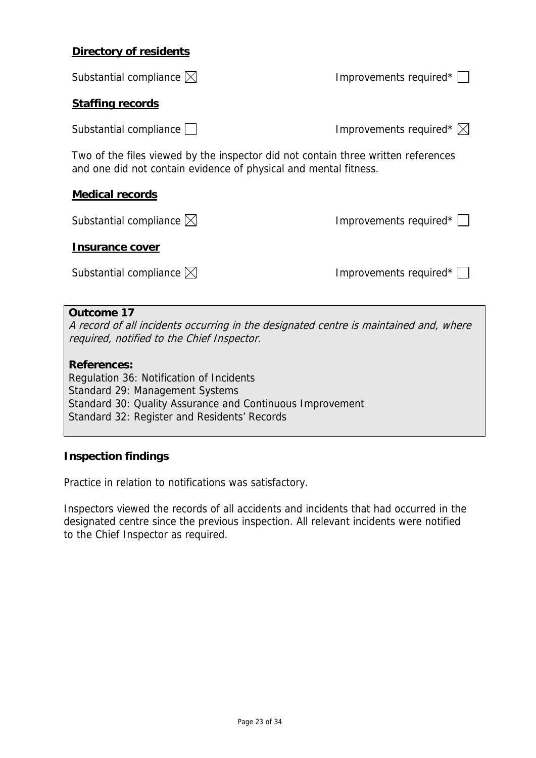### **Directory of residents**

| Substantial compliance $\boxtimes$                                                                                                                    | Improvements required*             |
|-------------------------------------------------------------------------------------------------------------------------------------------------------|------------------------------------|
| <b>Staffing records</b>                                                                                                                               |                                    |
| Substantial compliance                                                                                                                                | Improvements required* $\boxtimes$ |
| Two of the files viewed by the inspector did not contain three written references<br>and one did not contain evidence of physical and mental fitness. |                                    |
| <b>Medical records</b>                                                                                                                                |                                    |
| Substantial compliance $\boxtimes$                                                                                                                    | Improvements required* $\Box$      |
| Insurance cover                                                                                                                                       |                                    |
| Substantial compliance $\boxtimes$                                                                                                                    | Improvements required*             |
|                                                                                                                                                       |                                    |

**Outcome 17** 

A record of all incidents occurring in the designated centre is maintained and, where required, notified to the Chief Inspector.

### **References:**

Regulation 36: Notification of Incidents Standard 29: Management Systems Standard 30: Quality Assurance and Continuous Improvement Standard 32: Register and Residents' Records

### **Inspection findings**

Practice in relation to notifications was satisfactory.

Inspectors viewed the records of all accidents and incidents that had occurred in the designated centre since the previous inspection. All relevant incidents were notified to the Chief Inspector as required.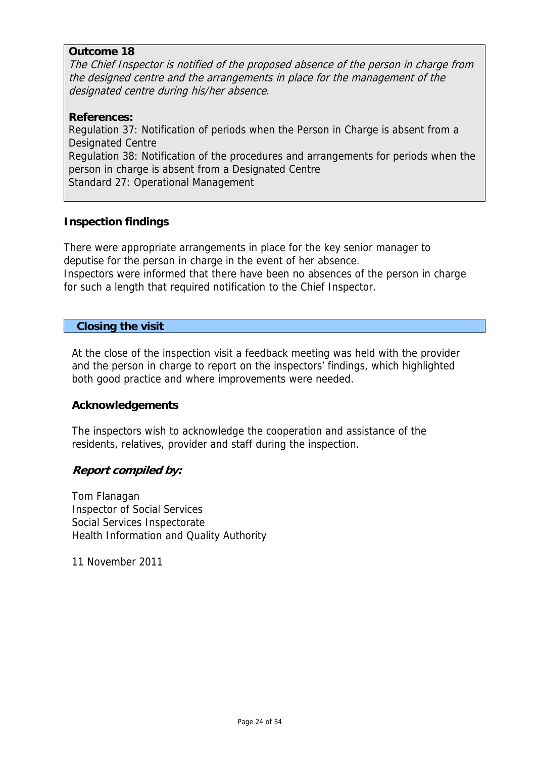### **Outcome 18**

The Chief Inspector is notified of the proposed absence of the person in charge from the designed centre and the arrangements in place for the management of the designated centre during his/her absence.

### **References:**

Regulation 37: Notification of periods when the Person in Charge is absent from a Designated Centre Regulation 38: Notification of the procedures and arrangements for periods when the person in charge is absent from a Designated Centre

Standard 27: Operational Management

### **Inspection findings**

There were appropriate arrangements in place for the key senior manager to deputise for the person in charge in the event of her absence. Inspectors were informed that there have been no absences of the person in charge for such a length that required notification to the Chief Inspector.

### **Closing the visit**

At the close of the inspection visit a feedback meeting was held with the provider and the person in charge to report on the inspectors' findings, which highlighted both good practice and where improvements were needed.

### **Acknowledgements**

The inspectors wish to acknowledge the cooperation and assistance of the residents, relatives, provider and staff during the inspection.

### **Report compiled by:**

Tom Flanagan Inspector of Social Services Social Services Inspectorate Health Information and Quality Authority

11 November 2011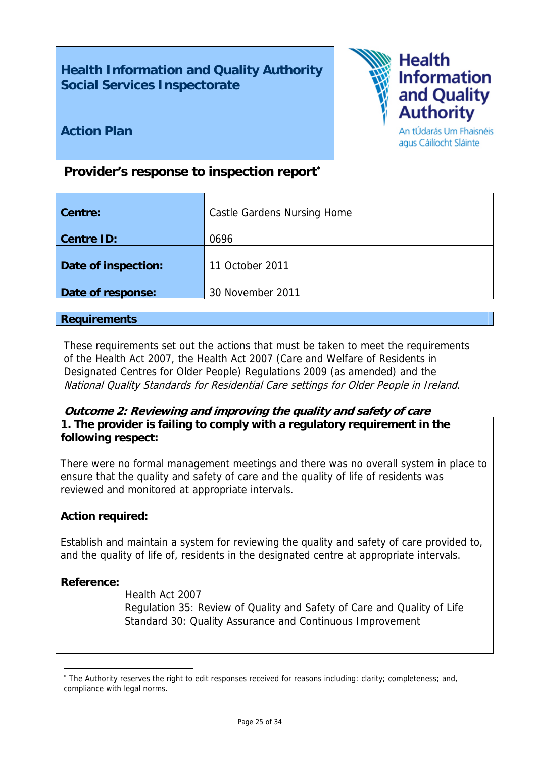# **Health Information and Quality Authority Social Services Inspectorate**



agus Cáilíocht Sláinte

**Action Plan** 

# **Provider's response to inspection report**

| Castle Gardens Nursing Home |
|-----------------------------|
|                             |
|                             |
|                             |
|                             |
| 11 October 2011             |
|                             |
| 30 November 2011            |
|                             |

# **Requirements**

These requirements set out the actions that must be taken to meet the requirements of the Health Act 2007, the Health Act 2007 (Care and Welfare of Residents in Designated Centres for Older People) Regulations 2009 (as amended) and the National Quality Standards for Residential Care settings for Older People in Ireland.

# **Outcome 2: Reviewing and improving the quality and safety of care 1. The provider is failing to comply with a regulatory requirement in the following respect:**

There were no formal management meetings and there was no overall system in place to ensure that the quality and safety of care and the quality of life of residents was reviewed and monitored at appropriate intervals.

# **Action required:**

Establish and maintain a system for reviewing the quality and safety of care provided to, and the quality of life of, residents in the designated centre at appropriate intervals.

### **Reference:**

1

Health Act 2007

 Regulation 35: Review of Quality and Safety of Care and Quality of Life Standard 30: Quality Assurance and Continuous Improvement

<sup>\*</sup> The Authority reserves the right to edit responses received for reasons including: clarity; completeness; and, compliance with legal norms.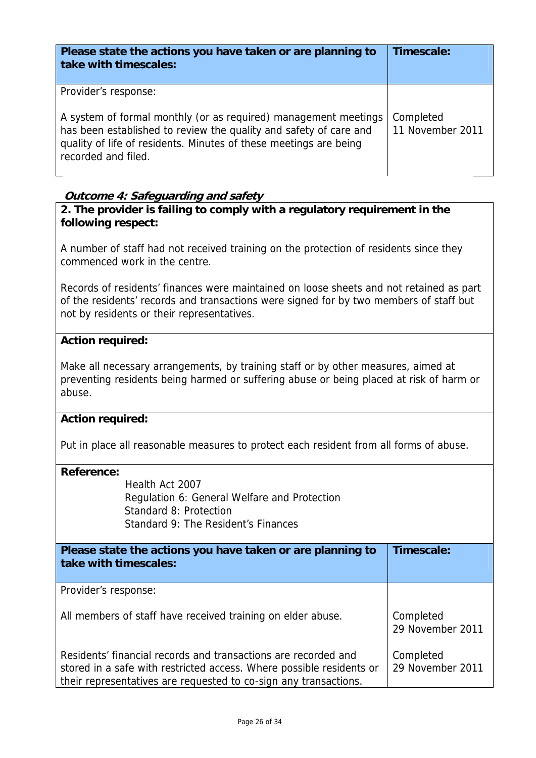| Please state the actions you have taken or are planning to<br>take with timescales:                                                                                                                                                                      | Timescale:                    |
|----------------------------------------------------------------------------------------------------------------------------------------------------------------------------------------------------------------------------------------------------------|-------------------------------|
| Provider's response:<br>A system of formal monthly (or as required) management meetings<br>has been established to review the quality and safety of care and<br>quality of life of residents. Minutes of these meetings are being<br>recorded and filed. | Completed<br>11 November 2011 |

# **Outcome 4: Safeguarding and safety**

# **2. The provider is failing to comply with a regulatory requirement in the following respect:**

A number of staff had not received training on the protection of residents since they commenced work in the centre.

Records of residents' finances were maintained on loose sheets and not retained as part of the residents' records and transactions were signed for by two members of staff but not by residents or their representatives.

### **Action required:**

Make all necessary arrangements, by training staff or by other measures, aimed at preventing residents being harmed or suffering abuse or being placed at risk of harm or abuse.

### **Action required:**

Put in place all reasonable measures to protect each resident from all forms of abuse.

#### **Reference:**

Health Act 2007 Regulation 6: General Welfare and Protection Standard 8: Protection Standard 9: The Resident's Finances

| Please state the actions you have taken or are planning to<br>take with timescales:                                                                                                                        | Timescale:                    |  |
|------------------------------------------------------------------------------------------------------------------------------------------------------------------------------------------------------------|-------------------------------|--|
| Provider's response:                                                                                                                                                                                       |                               |  |
| All members of staff have received training on elder abuse.                                                                                                                                                | Completed<br>29 November 2011 |  |
| Residents' financial records and transactions are recorded and<br>stored in a safe with restricted access. Where possible residents or<br>their representatives are requested to co-sign any transactions. | Completed<br>29 November 2011 |  |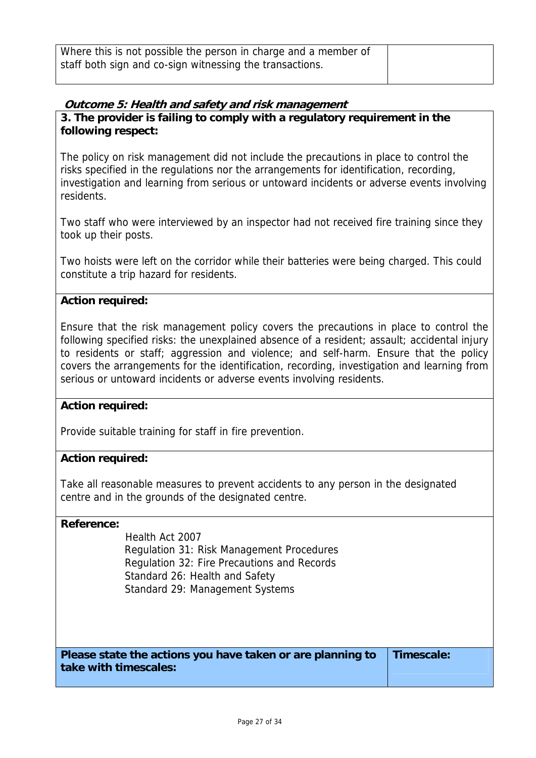| Where this is not possible the person in charge and a member of |  |
|-----------------------------------------------------------------|--|
| staff both sign and co-sign witnessing the transactions.        |  |
|                                                                 |  |

# **Outcome 5: Health and safety and risk management**

# **3. The provider is failing to comply with a regulatory requirement in the following respect:**

The policy on risk management did not include the precautions in place to control the risks specified in the regulations nor the arrangements for identification, recording, investigation and learning from serious or untoward incidents or adverse events involving residents.

Two staff who were interviewed by an inspector had not received fire training since they took up their posts.

Two hoists were left on the corridor while their batteries were being charged. This could constitute a trip hazard for residents.

# **Action required:**

Ensure that the risk management policy covers the precautions in place to control the following specified risks: the unexplained absence of a resident; assault; accidental injury to residents or staff; aggression and violence; and self-harm. Ensure that the policy covers the arrangements for the identification, recording, investigation and learning from serious or untoward incidents or adverse events involving residents.

### **Action required:**

Provide suitable training for staff in fire prevention.

#### **Action required:**

Take all reasonable measures to prevent accidents to any person in the designated centre and in the grounds of the designated centre.

#### **Reference:**

Health Act 2007 Regulation 31: Risk Management Procedures Regulation 32: Fire Precautions and Records Standard 26: Health and Safety Standard 29: Management Systems

| Please state the actions you have taken or are planning to Timescale: |  |
|-----------------------------------------------------------------------|--|
| take with timescales:                                                 |  |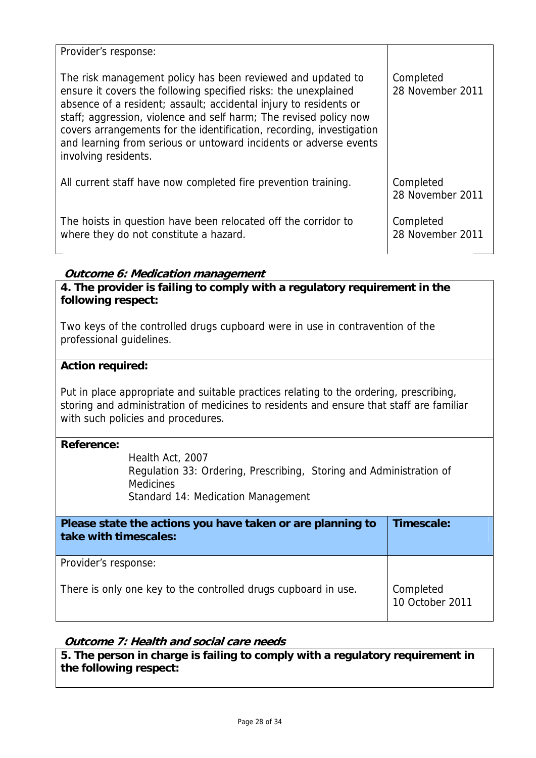| Provider's response:                                                                                                                                                                                                                                                                                                                                                                                                                          |                               |
|-----------------------------------------------------------------------------------------------------------------------------------------------------------------------------------------------------------------------------------------------------------------------------------------------------------------------------------------------------------------------------------------------------------------------------------------------|-------------------------------|
| The risk management policy has been reviewed and updated to<br>ensure it covers the following specified risks: the unexplained<br>absence of a resident; assault; accidental injury to residents or<br>staff; aggression, violence and self harm; The revised policy now<br>covers arrangements for the identification, recording, investigation<br>and learning from serious or untoward incidents or adverse events<br>involving residents. | Completed<br>28 November 2011 |
| All current staff have now completed fire prevention training.                                                                                                                                                                                                                                                                                                                                                                                | Completed<br>28 November 2011 |
| The hoists in question have been relocated off the corridor to<br>where they do not constitute a hazard.                                                                                                                                                                                                                                                                                                                                      | Completed<br>28 November 2011 |

# **Outcome 6: Medication management**

**4. The provider is failing to comply with a regulatory requirement in the following respect:**

Two keys of the controlled drugs cupboard were in use in contravention of the professional guidelines.

### **Action required:**

Put in place appropriate and suitable practices relating to the ordering, prescribing, storing and administration of medicines to residents and ensure that staff are familiar with such policies and procedures.

### **Reference:**

Health Act, 2007 Regulation 33: Ordering, Prescribing, Storing and Administration of **Medicines** Standard 14: Medication Management

| Please state the actions you have taken or are planning to<br>take with timescales: | Timescale:                   |
|-------------------------------------------------------------------------------------|------------------------------|
| Provider's response:                                                                |                              |
| There is only one key to the controlled drugs cupboard in use.                      | Completed<br>10 October 2011 |

# **Outcome 7: Health and social care needs**

**5. The person in charge is failing to comply with a regulatory requirement in the following respect:**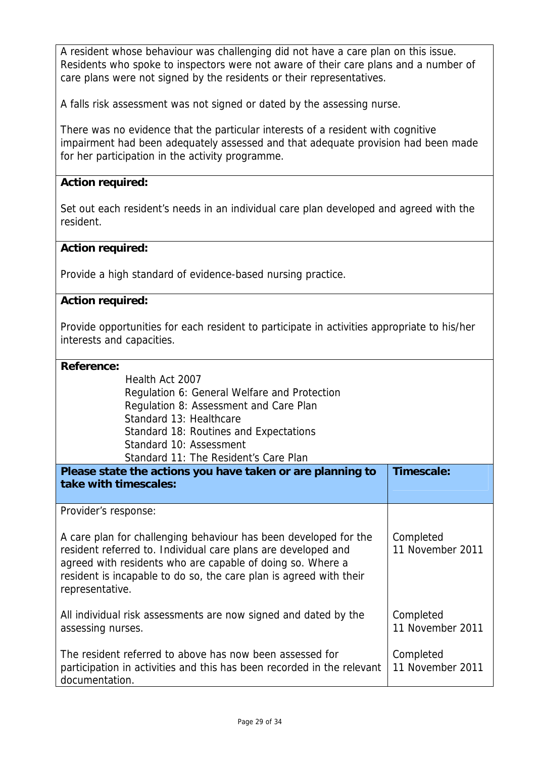A resident whose behaviour was challenging did not have a care plan on this issue. Residents who spoke to inspectors were not aware of their care plans and a number of care plans were not signed by the residents or their representatives.

A falls risk assessment was not signed or dated by the assessing nurse.

There was no evidence that the particular interests of a resident with cognitive impairment had been adequately assessed and that adequate provision had been made for her participation in the activity programme.

## **Action required:**

Set out each resident's needs in an individual care plan developed and agreed with the resident.

### **Action required:**

Provide a high standard of evidence-based nursing practice.

#### **Action required:**

Provide opportunities for each resident to participate in activities appropriate to his/her interests and capacities.

| <b>Reference:</b>                                                      |                  |
|------------------------------------------------------------------------|------------------|
| Health Act 2007                                                        |                  |
| Regulation 6: General Welfare and Protection                           |                  |
| Regulation 8: Assessment and Care Plan                                 |                  |
| Standard 13: Healthcare                                                |                  |
| Standard 18: Routines and Expectations                                 |                  |
| Standard 10: Assessment                                                |                  |
| Standard 11: The Resident's Care Plan                                  |                  |
| Please state the actions you have taken or are planning to             | Timescale:       |
| take with timescales:                                                  |                  |
|                                                                        |                  |
| Provider's response:                                                   |                  |
|                                                                        |                  |
| A care plan for challenging behaviour has been developed for the       | Completed        |
| resident referred to. Individual care plans are developed and          | 11 November 2011 |
| agreed with residents who are capable of doing so. Where a             |                  |
| resident is incapable to do so, the care plan is agreed with their     |                  |
| representative.                                                        |                  |
|                                                                        |                  |
| All individual risk assessments are now signed and dated by the        | Completed        |
| assessing nurses.                                                      | 11 November 2011 |
|                                                                        |                  |
| The resident referred to above has now been assessed for               | Completed        |
| participation in activities and this has been recorded in the relevant | 11 November 2011 |
| documentation.                                                         |                  |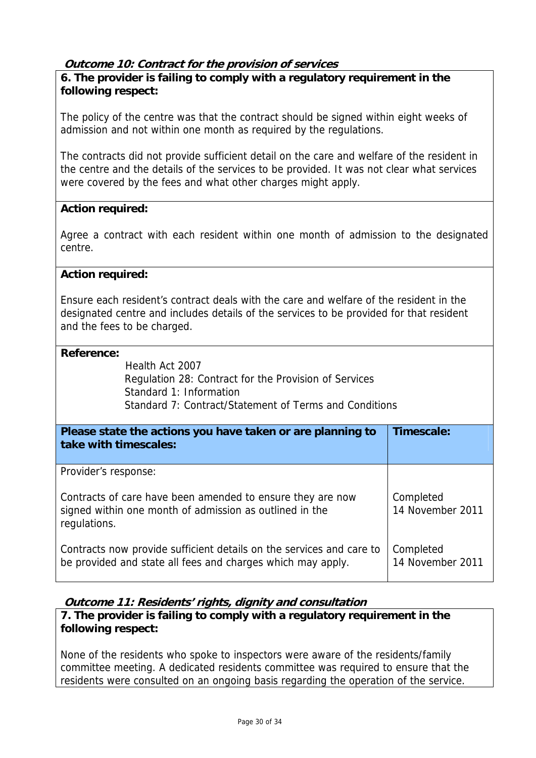# **Outcome 10: Contract for the provision of services**

# **6. The provider is failing to comply with a regulatory requirement in the following respect:**

The policy of the centre was that the contract should be signed within eight weeks of admission and not within one month as required by the regulations.

The contracts did not provide sufficient detail on the care and welfare of the resident in the centre and the details of the services to be provided. It was not clear what services were covered by the fees and what other charges might apply.

### **Action required:**

Agree a contract with each resident within one month of admission to the designated centre.

### **Action required:**

Ensure each resident's contract deals with the care and welfare of the resident in the designated centre and includes details of the services to be provided for that resident and the fees to be charged.

#### **Reference:**

Health Act 2007 Regulation 28: Contract for the Provision of Services Standard 1: Information Standard 7: Contract/Statement of Terms and Conditions

| Please state the actions you have taken or are planning to<br>take with timescales:                                                   | Timescale:                    |
|---------------------------------------------------------------------------------------------------------------------------------------|-------------------------------|
| Provider's response:                                                                                                                  |                               |
| Contracts of care have been amended to ensure they are now<br>signed within one month of admission as outlined in the<br>regulations. | Completed<br>14 November 2011 |
| Contracts now provide sufficient details on the services and care to<br>be provided and state all fees and charges which may apply.   | Completed<br>14 November 2011 |

**Outcome 11: Residents' rights, dignity and consultation** 

**7. The provider is failing to comply with a regulatory requirement in the following respect:**

None of the residents who spoke to inspectors were aware of the residents/family committee meeting. A dedicated residents committee was required to ensure that the residents were consulted on an ongoing basis regarding the operation of the service.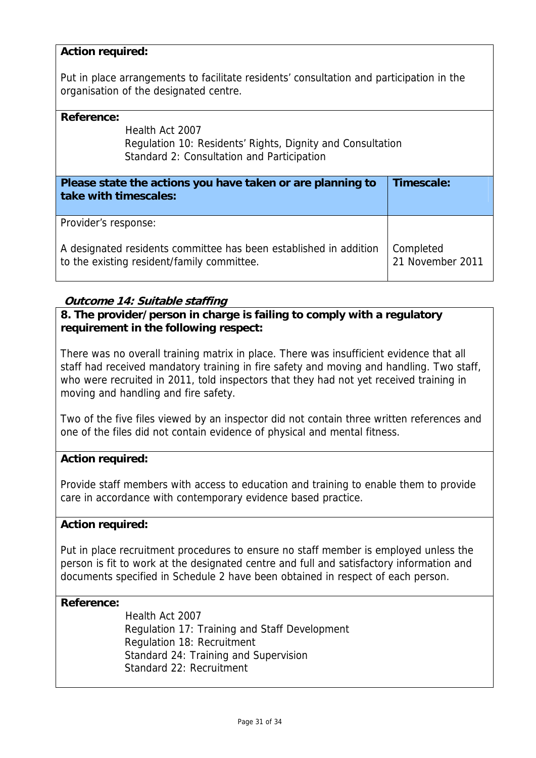### **Action required:**

Put in place arrangements to facilitate residents' consultation and participation in the organisation of the designated centre.

### **Reference:**

Health Act 2007 Regulation 10: Residents' Rights, Dignity and Consultation Standard 2: Consultation and Participation

| Please state the actions you have taken or are planning to<br>take with timescales:                             | Timescale:                    |
|-----------------------------------------------------------------------------------------------------------------|-------------------------------|
| Provider's response:                                                                                            |                               |
| A designated residents committee has been established in addition<br>to the existing resident/family committee. | Completed<br>21 November 2011 |

### **Outcome 14: Suitable staffing**

# **8. The provider/person in charge is failing to comply with a regulatory requirement in the following respect:**

There was no overall training matrix in place. There was insufficient evidence that all staff had received mandatory training in fire safety and moving and handling. Two staff, who were recruited in 2011, told inspectors that they had not yet received training in moving and handling and fire safety.

Two of the five files viewed by an inspector did not contain three written references and one of the files did not contain evidence of physical and mental fitness.

### **Action required:**

Provide staff members with access to education and training to enable them to provide care in accordance with contemporary evidence based practice.

### **Action required:**

Put in place recruitment procedures to ensure no staff member is employed unless the person is fit to work at the designated centre and full and satisfactory information and documents specified in Schedule 2 have been obtained in respect of each person.

#### **Reference:**

Health Act 2007 Regulation 17: Training and Staff Development Regulation 18: Recruitment Standard 24: Training and Supervision Standard 22: Recruitment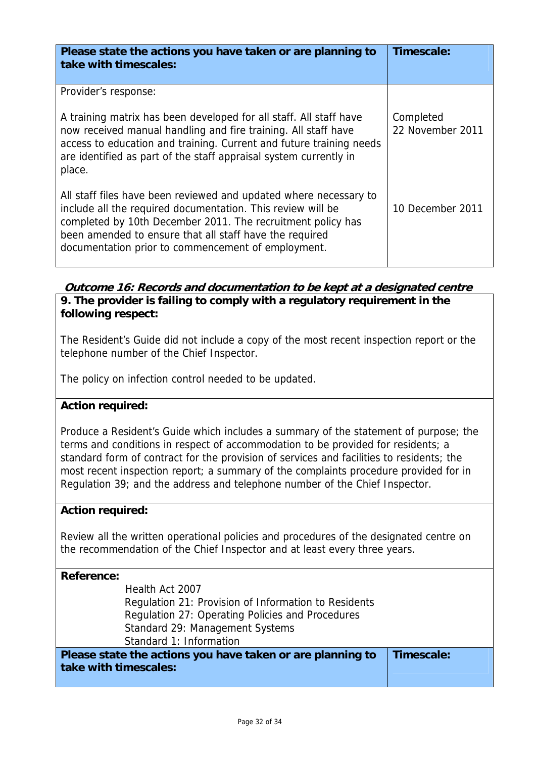| Please state the actions you have taken or are planning to<br>take with timescales:                                                                                                                                                                                                                              | Timescale:                    |
|------------------------------------------------------------------------------------------------------------------------------------------------------------------------------------------------------------------------------------------------------------------------------------------------------------------|-------------------------------|
| Provider's response:                                                                                                                                                                                                                                                                                             |                               |
| A training matrix has been developed for all staff. All staff have<br>now received manual handling and fire training. All staff have<br>access to education and training. Current and future training needs<br>are identified as part of the staff appraisal system currently in<br>place.                       | Completed<br>22 November 2011 |
| All staff files have been reviewed and updated where necessary to<br>include all the required documentation. This review will be<br>completed by 10th December 2011. The recruitment policy has<br>been amended to ensure that all staff have the required<br>documentation prior to commencement of employment. | 10 December 2011              |

# **Outcome 16: Records and documentation to be kept at a designated centre 9. The provider is failing to comply with a regulatory requirement in the following respect:**

The Resident's Guide did not include a copy of the most recent inspection report or the telephone number of the Chief Inspector.

The policy on infection control needed to be updated.

### **Action required:**

Produce a Resident's Guide which includes a summary of the statement of purpose; the terms and conditions in respect of accommodation to be provided for residents; a standard form of contract for the provision of services and facilities to residents; the most recent inspection report; a summary of the complaints procedure provided for in Regulation 39; and the address and telephone number of the Chief Inspector.

### **Action required:**

Review all the written operational policies and procedures of the designated centre on the recommendation of the Chief Inspector and at least every three years.

#### **Reference:**

Health Act 2007 Regulation 21: Provision of Information to Residents Regulation 27: Operating Policies and Procedures Standard 29: Management Systems Standard 1: Information

**Please state the actions you have taken or are planning to take with timescales: Timescale:**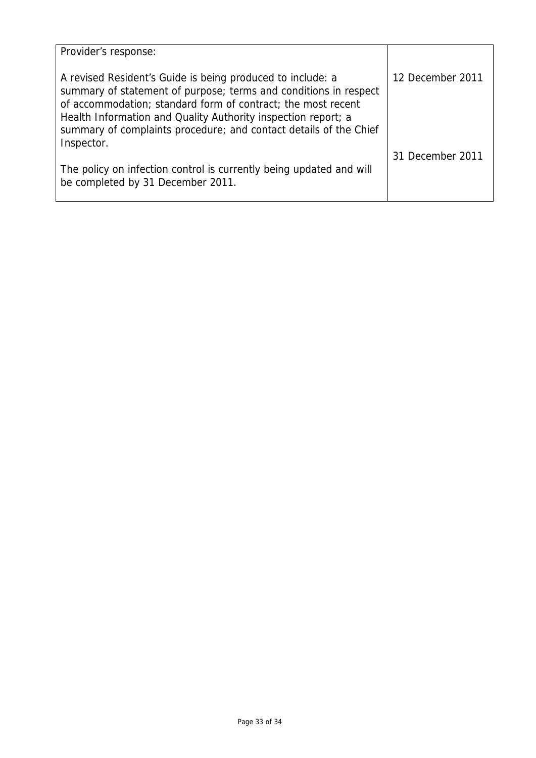| Provider's response:                                                                                                                                                                                                                                                                                                                               |                  |
|----------------------------------------------------------------------------------------------------------------------------------------------------------------------------------------------------------------------------------------------------------------------------------------------------------------------------------------------------|------------------|
| A revised Resident's Guide is being produced to include: a<br>summary of statement of purpose; terms and conditions in respect<br>of accommodation; standard form of contract; the most recent<br>Health Information and Quality Authority inspection report; a<br>summary of complaints procedure; and contact details of the Chief<br>Inspector. | 12 December 2011 |
| The policy on infection control is currently being updated and will<br>be completed by 31 December 2011.                                                                                                                                                                                                                                           | 31 December 2011 |